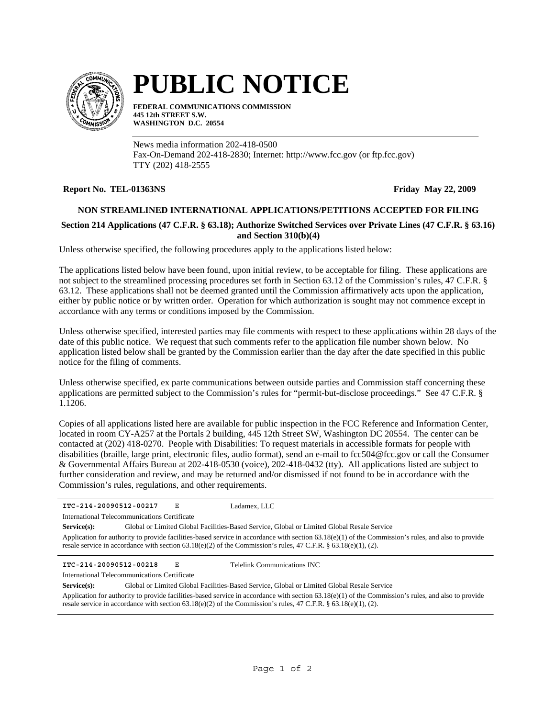

# **PUBLIC NOTICE**

**FEDERAL COMMUNICATIONS COMMISSION 445 12th STREET S.W. WASHINGTON D.C. 20554**

News media information 202-418-0500 Fax-On-Demand 202-418-2830; Internet: http://www.fcc.gov (or ftp.fcc.gov) TTY (202) 418-2555

## **Report No. TEL-01363NS Friday May 22, 2009**

## **NON STREAMLINED INTERNATIONAL APPLICATIONS/PETITIONS ACCEPTED FOR FILING**

## **Section 214 Applications (47 C.F.R. § 63.18); Authorize Switched Services over Private Lines (47 C.F.R. § 63.16) and Section 310(b)(4)**

Unless otherwise specified, the following procedures apply to the applications listed below:

The applications listed below have been found, upon initial review, to be acceptable for filing. These applications are not subject to the streamlined processing procedures set forth in Section 63.12 of the Commission's rules, 47 C.F.R. § 63.12. These applications shall not be deemed granted until the Commission affirmatively acts upon the application, either by public notice or by written order. Operation for which authorization is sought may not commence except in accordance with any terms or conditions imposed by the Commission.

Unless otherwise specified, interested parties may file comments with respect to these applications within 28 days of the date of this public notice. We request that such comments refer to the application file number shown below. No application listed below shall be granted by the Commission earlier than the day after the date specified in this public notice for the filing of comments.

Unless otherwise specified, ex parte communications between outside parties and Commission staff concerning these applications are permitted subject to the Commission's rules for "permit-but-disclose proceedings." See 47 C.F.R. § 1.1206.

Copies of all applications listed here are available for public inspection in the FCC Reference and Information Center, located in room CY-A257 at the Portals 2 building, 445 12th Street SW, Washington DC 20554. The center can be contacted at (202) 418-0270. People with Disabilities: To request materials in accessible formats for people with disabilities (braille, large print, electronic files, audio format), send an e-mail to fcc504@fcc.gov or call the Consumer & Governmental Affairs Bureau at 202-418-0530 (voice), 202-418-0432 (tty). All applications listed are subject to further consideration and review, and may be returned and/or dismissed if not found to be in accordance with the Commission's rules, regulations, and other requirements.

**ITC-214-20090512-00217** E **Service(s):** Global or Limited Global Facilities-Based Service, Global or Limited Global Resale Service Application for authority to provide facilities-based service in accordance with section 63.18(e)(1) of the Commission's rules, and also to provide resale service in accordance with section  $63.18(e)(2)$  of the Commission's rules,  $47$  C.F.R. §  $63.18(e)(1)$ , (2). International Telecommunications Certificate Ladamex, LLC **ITC-214-20090512-00218** E Telelink Communications INC

International Telecommunications Certificate

**Service(s):** Global or Limited Global Facilities-Based Service, Global or Limited Global Resale Service Application for authority to provide facilities-based service in accordance with section 63.18(e)(1) of the Commission's rules, and also to provide resale service in accordance with section  $63.18(e)(2)$  of the Commission's rules,  $47$  C.F.R. §  $63.18(e)(1)$ , (2).